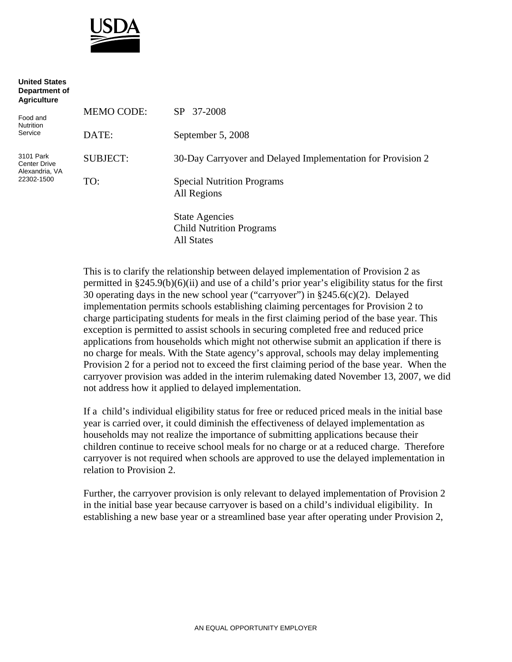

| <b>United States</b><br>Department of<br><b>Agriculture</b>      |                   |                                                                        |
|------------------------------------------------------------------|-------------------|------------------------------------------------------------------------|
| Food and<br><b>Nutrition</b><br>Service                          | <b>MEMO CODE:</b> | SP 37-2008                                                             |
|                                                                  | DATE:             | September 5, 2008                                                      |
| 3101 Park<br><b>Center Drive</b><br>Alexandria, VA<br>22302-1500 | <b>SUBJECT:</b>   | 30-Day Carryover and Delayed Implementation for Provision 2            |
|                                                                  | TO:               | <b>Special Nutrition Programs</b><br>All Regions                       |
|                                                                  |                   | <b>State Agencies</b><br><b>Child Nutrition Programs</b><br>All States |

This is to clarify the relationship between delayed implementation of Provision 2 as permitted in §245.9(b)(6)(ii) and use of a child's prior year's eligibility status for the first 30 operating days in the new school year ("carryover") in §245.6(c)(2). Delayed implementation permits schools establishing claiming percentages for Provision 2 to charge participating students for meals in the first claiming period of the base year. This exception is permitted to assist schools in securing completed free and reduced price applications from households which might not otherwise submit an application if there is no charge for meals. With the State agency's approval, schools may delay implementing Provision 2 for a period not to exceed the first claiming period of the base year. When the carryover provision was added in the interim rulemaking dated November 13, 2007, we did not address how it applied to delayed implementation.

If a child's individual eligibility status for free or reduced priced meals in the initial base year is carried over, it could diminish the effectiveness of delayed implementation as households may not realize the importance of submitting applications because their children continue to receive school meals for no charge or at a reduced charge. Therefore carryover is not required when schools are approved to use the delayed implementation in relation to Provision 2.

Further, the carryover provision is only relevant to delayed implementation of Provision 2 in the initial base year because carryover is based on a child's individual eligibility. In establishing a new base year or a streamlined base year after operating under Provision 2,